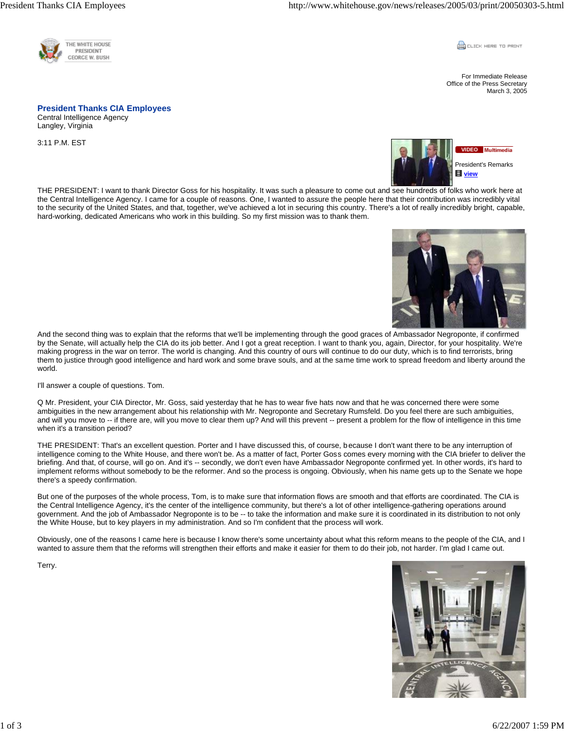

**CLICK HERE TO PRINT** 

For Immediate Release Office of the Press Secretary March 3, 2005

## **President Thanks CIA Employees**

Central Intelligence Agency Langley, Virginia

3:11 P.M. EST



THE PRESIDENT: I want to thank Director Goss for his hospitality. It was such a pleasure to come out and see hundreds of folks who work here at the Central Intelligence Agency. I came for a couple of reasons. One, I wanted to assure the people here that their contribution was incredibly vital to the security of the United States, and that, together, we've achieved a lot in securing this country. There's a lot of really incredibly bright, capable, hard-working, dedicated Americans who work in this building. So my first mission was to thank them.



And the second thing was to explain that the reforms that we'll be implementing through the good graces of Ambassador Negroponte, if confirmed by the Senate, will actually help the CIA do its job better. And I got a great reception. I want to thank you, again, Director, for your hospitality. We're making progress in the war on terror. The world is changing. And this country of ours will continue to do our duty, which is to find terrorists, bring them to justice through good intelligence and hard work and some brave souls, and at the same time work to spread freedom and liberty around the world.

I'll answer a couple of questions. Tom.

Q Mr. President, your CIA Director, Mr. Goss, said yesterday that he has to wear five hats now and that he was concerned there were some ambiguities in the new arrangement about his relationship with Mr. Negroponte and Secretary Rumsfeld. Do you feel there are such ambiguities, and will you move to -- if there are, will you move to clear them up? And will this prevent -- present a problem for the flow of intelligence in this time when it's a transition period?

THE PRESIDENT: That's an excellent question. Porter and I have discussed this, of course, because I don't want there to be any interruption of intelligence coming to the White House, and there won't be. As a matter of fact, Porter Goss comes every morning with the CIA briefer to deliver the briefing. And that, of course, will go on. And it's -- secondly, we don't even have Ambassador Negroponte confirmed yet. In other words, it's hard to implement reforms without somebody to be the reformer. And so the process is ongoing. Obviously, when his name gets up to the Senate we hope there's a speedy confirmation.

But one of the purposes of the whole process, Tom, is to make sure that information flows are smooth and that efforts are coordinated. The CIA is the Central Intelligence Agency, it's the center of the intelligence community, but there's a lot of other intelligence-gathering operations around government. And the job of Ambassador Negroponte is to be -- to take the information and make sure it is coordinated in its distribution to not only the White House, but to key players in my administration. And so I'm confident that the process will work.

Obviously, one of the reasons I came here is because I know there's some uncertainty about what this reform means to the people of the CIA, and I wanted to assure them that the reforms will strengthen their efforts and make it easier for them to do their job, not harder. I'm glad I came out.

Terry.

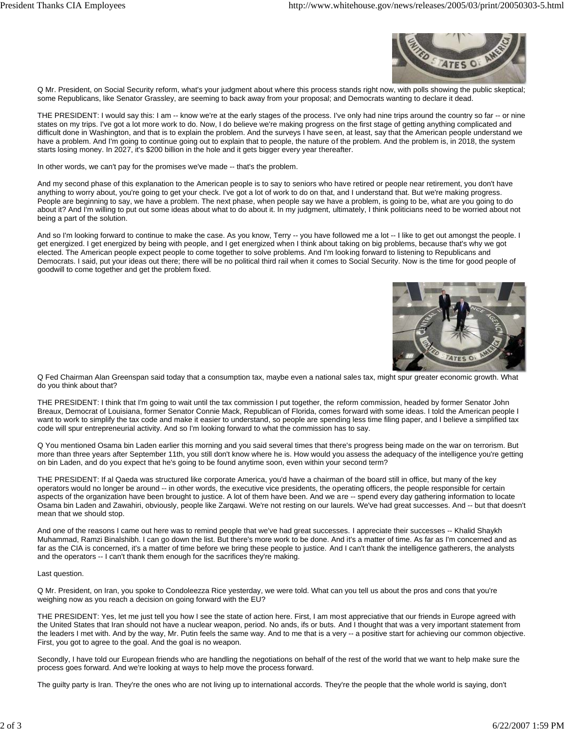

Q Mr. President, on Social Security reform, what's your judgment about where this process stands right now, with polls showing the public skeptical; some Republicans, like Senator Grassley, are seeming to back away from your proposal; and Democrats wanting to declare it dead.

THE PRESIDENT: I would say this: I am -- know we're at the early stages of the process. I've only had nine trips around the country so far -- or nine states on my trips. I've got a lot more work to do. Now, I do believe we're making progress on the first stage of getting anything complicated and difficult done in Washington, and that is to explain the problem. And the surveys I have seen, at least, say that the American people understand we have a problem. And I'm going to continue going out to explain that to people, the nature of the problem. And the problem is, in 2018, the system starts losing money. In 2027, it's \$200 billion in the hole and it gets bigger every year thereafter.

In other words, we can't pay for the promises we've made -- that's the problem.

And my second phase of this explanation to the American people is to say to seniors who have retired or people near retirement, you don't have anything to worry about, you're going to get your check. I've got a lot of work to do on that, and I understand that. But we're making progress. People are beginning to say, we have a problem. The next phase, when people say we have a problem, is going to be, what are you going to do about it? And I'm willing to put out some ideas about what to do about it. In my judgment, ultimately, I think politicians need to be worried about not being a part of the solution.

And so I'm looking forward to continue to make the case. As you know, Terry -- you have followed me a lot -- I like to get out amongst the people. I get energized. I get energized by being with people, and I get energized when I think about taking on big problems, because that's why we got elected. The American people expect people to come together to solve problems. And I'm looking forward to listening to Republicans and Democrats. I said, put your ideas out there; there will be no political third rail when it comes to Social Security. Now is the time for good people of goodwill to come together and get the problem fixed.



Q Fed Chairman Alan Greenspan said today that a consumption tax, maybe even a national sales tax, might spur greater economic growth. What do you think about that?

THE PRESIDENT: I think that I'm going to wait until the tax commission I put together, the reform commission, headed by former Senator John Breaux, Democrat of Louisiana, former Senator Connie Mack, Republican of Florida, comes forward with some ideas. I told the American people I want to work to simplify the tax code and make it easier to understand, so people are spending less time filing paper, and I believe a simplified tax code will spur entrepreneurial activity. And so I'm looking forward to what the commission has to say.

Q You mentioned Osama bin Laden earlier this morning and you said several times that there's progress being made on the war on terrorism. But more than three years after September 11th, you still don't know where he is. How would you assess the adequacy of the intelligence you're getting on bin Laden, and do you expect that he's going to be found anytime soon, even within your second term?

THE PRESIDENT: If al Qaeda was structured like corporate America, you'd have a chairman of the board still in office, but many of the key operators would no longer be around -- in other words, the executive vice presidents, the operating officers, the people responsible for certain aspects of the organization have been brought to justice. A lot of them have been. And we are -- spend every day gathering information to locate Osama bin Laden and Zawahiri, obviously, people like Zarqawi. We're not resting on our laurels. We've had great successes. And -- but that doesn't mean that we should stop.

And one of the reasons I came out here was to remind people that we've had great successes. I appreciate their successes -- Khalid Shaykh Muhammad, Ramzi Binalshibh. I can go down the list. But there's more work to be done. And it's a matter of time. As far as I'm concerned and as far as the CIA is concerned, it's a matter of time before we bring these people to justice. And I can't thank the intelligence gatherers, the analysts and the operators -- I can't thank them enough for the sacrifices they're making.

## Last question.

Q Mr. President, on Iran, you spoke to Condoleezza Rice yesterday, we were told. What can you tell us about the pros and cons that you're weighing now as you reach a decision on going forward with the EU?

THE PRESIDENT: Yes, let me just tell you how I see the state of action here. First, I am most appreciative that our friends in Europe agreed with the United States that Iran should not have a nuclear weapon, period. No ands, ifs or buts. And I thought that was a very important statement from the leaders I met with. And by the way, Mr. Putin feels the same way. And to me that is a very -- a positive start for achieving our common objective. First, you got to agree to the goal. And the goal is no weapon.

Secondly, I have told our European friends who are handling the negotiations on behalf of the rest of the world that we want to help make sure the process goes forward. And we're looking at ways to help move the process forward.

The guilty party is Iran. They're the ones who are not living up to international accords. They're the people that the whole world is saying, don't